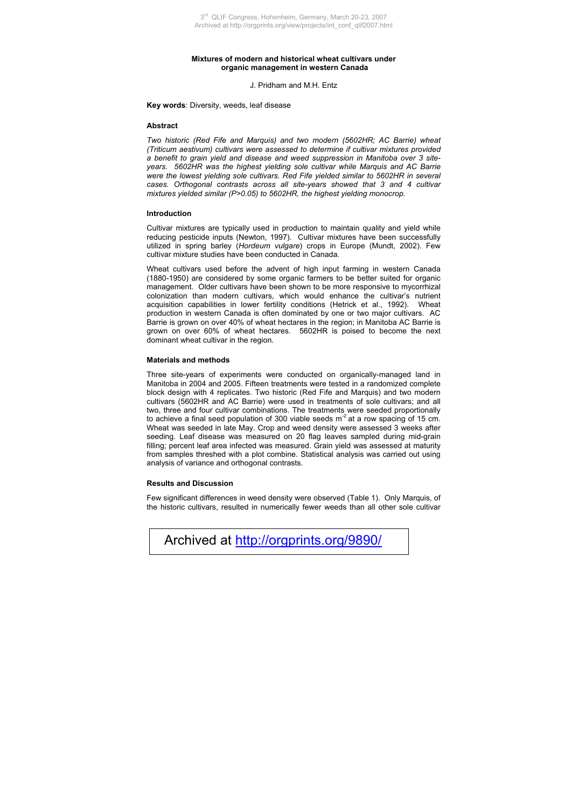## **Mixtures of modern and historical wheat cultivars under organic management in western Canada**

J. Pridham and M.H. Entz

**Key words**: Diversity, weeds, leaf disease

## **Abstract**

*Two historic (Red Fife and Marquis) and two modern (5602HR; AC Barrie) wheat (Triticum aestivum) cultivars were assessed to determine if cultivar mixtures provided a benefit to grain yield and disease and weed suppression in Manitoba over 3 siteyears. 5602HR was the highest yielding sole cultivar while Marquis and AC Barrie were the lowest yielding sole cultivars. Red Fife yielded similar to 5602HR in several cases. Orthogonal contrasts across all site-years showed that 3 and 4 cultivar mixtures yielded similar (P>0.05) to 5602HR, the highest yielding monocrop.* 

# **Introduction**

Cultivar mixtures are typically used in production to maintain quality and yield while reducing pesticide inputs (Newton, 1997). Cultivar mixtures have been successfully utilized in spring barley (*Hordeum vulgare*) crops in Europe (Mundt, 2002). Few cultivar mixture studies have been conducted in Canada.

Wheat cultivars used before the advent of high input farming in western Canada (1880-1950) are considered by some organic farmers to be better suited for organic management. Older cultivars have been shown to be more responsive to mycorrhizal colonization than modern cultivars, which would enhance the cultivar's nutrient acquisition capabilities in lower fertility conditions (Hetrick et al., 1992). Wheat production in western Canada is often dominated by one or two major cultivars. AC Barrie is grown on over 40% of wheat hectares in the region; in Manitoba AC Barrie is grown on over 60% of wheat hectares. 5602HR is poised to become the next dominant wheat cultivar in the region.

#### **Materials and methods**

Three site-years of experiments were conducted on organically-managed land in Manitoba in 2004 and 2005. Fifteen treatments were tested in a randomized complete block design with 4 replicates. Two historic (Red Fife and Marquis) and two modern cultivars (5602HR and AC Barrie) were used in treatments of sole cultivars; and all two, three and four cultivar combinations. The treatments were seeded proportionally to achieve a final seed population of 300 viable seeds m<sup>2</sup> at a row spacing of 15 cm. Wheat was seeded in late May. Crop and weed density were assessed 3 weeks after seeding. Leaf disease was measured on 20 flag leaves sampled during mid-grain filling; percent leaf area infected was measured. Grain yield was assessed at maturity from samples threshed with a plot combine. Statistical analysis was carried out using analysis of variance and orthogonal contrasts.

#### **Results and Discussion**

Few significant differences in weed density were observed (Table 1). Only Marquis, of the historic cultivars, resulted in numerically fewer weeds than all other sole cultivar

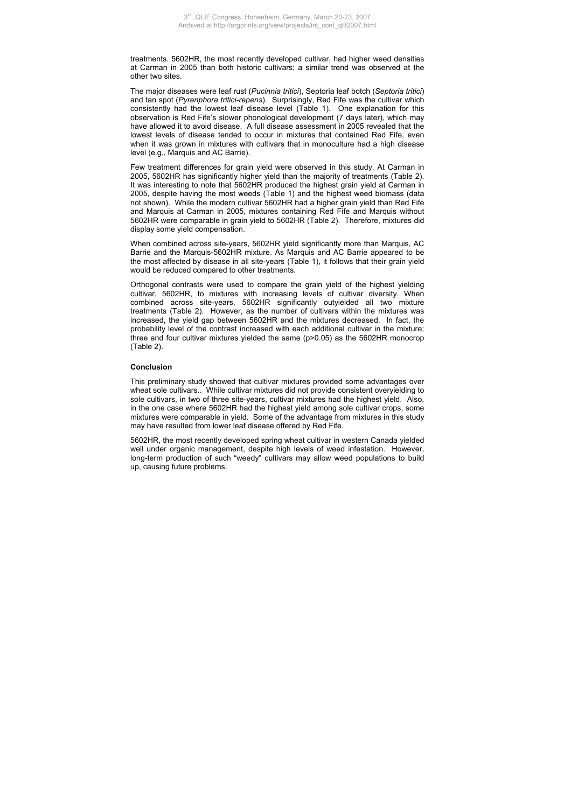treatments. 5602HR, the most recently developed cultivar, had higher weed densities at Carman in 2005 than both historic cultivars; a similar trend was observed at the other two sites.

The major diseases were leaf rust (*Pucinnia tritici*), Septoria leaf botch (*Septoria tritici*) and tan spot (*Pyrenphora tritici-repens*). Surprisingly, Red Fife was the cultivar which consistently had the lowest leaf disease level (Table 1). One explanation for this observation is Red Fife's slower phonological development (7 days later), which may have allowed it to avoid disease. A full disease assessment in 2005 revealed that the lowest levels of disease tended to occur in mixtures that contained Red Fife, even when it was grown in mixtures with cultivars that in monoculture had a high disease level (e.g., Marquis and AC Barrie).

Few treatment differences for grain yield were observed in this study. At Carman in 2005, 5602HR has significantly higher yield than the majority of treatments (Table 2). It was interesting to note that 5602HR produced the highest grain yield at Carman in 2005, despite having the most weeds (Table 1) and the highest weed biomass (data not shown). While the modern cultivar 5602HR had a higher grain yield than Red Fife and Marquis at Carman in 2005, mixtures containing Red Fife and Marquis without 5602HR were comparable in grain yield to 5602HR (Table 2). Therefore, mixtures did display some yield compensation.

When combined across site-years, 5602HR yield significantly more than Marquis, AC Barrie and the Marquis-5602HR mixture. As Marquis and AC Barrie appeared to be the most affected by disease in all site-years (Table 1), it follows that their grain yield would be reduced compared to other treatments.

Orthogonal contrasts were used to compare the grain yield of the highest yielding cultivar, 5602HR, to mixtures with increasing levels of cultivar diversity. When combined across site-years, 5602HR significantly outyielded all two mixture treatments (Table 2). However, as the number of cultivars within the mixtures was increased, the yield gap between 5602HR and the mixtures decreased. In fact, the probability level of the contrast increased with each additional cultivar in the mixture; three and four cultivar mixtures yielded the same (p>0.05) as the 5602HR monocrop (Table 2).

# **Conclusion**

This preliminary study showed that cultivar mixtures provided some advantages over wheat sole cultivars.. While cultivar mixtures did not provide consistent overyielding to sole cultivars, in two of three site-years, cultivar mixtures had the highest yield. Also, in the one case where 5602HR had the highest yield among sole cultivar crops, some mixtures were comparable in yield. Some of the advantage from mixtures in this study may have resulted from lower leaf disease offered by Red Fife.

5602HR, the most recently developed spring wheat cultivar in western Canada yielded well under organic management, despite high levels of weed infestation. However, long-term production of such "weedy" cultivars may allow weed populations to build up, causing future problems.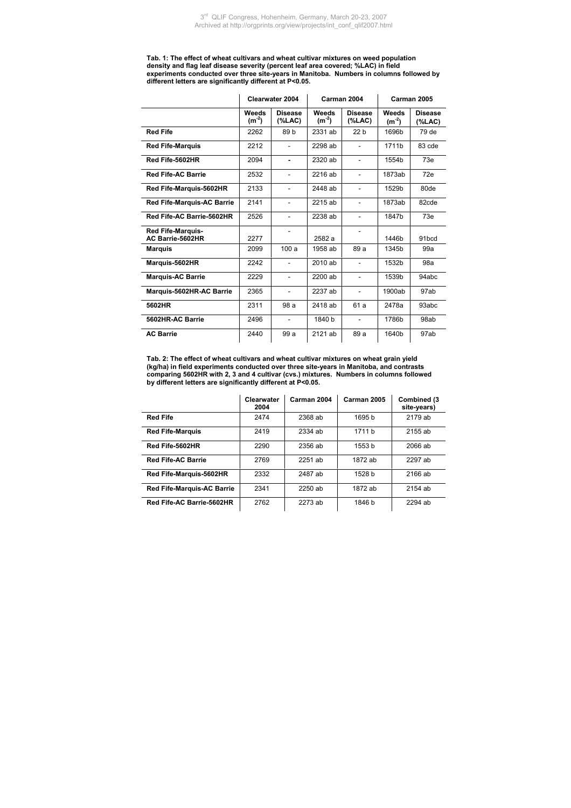**Tab. 1: The effect of wheat cultivars and wheat cultivar mixtures on weed population density and flag leaf disease severity (percent leaf area covered; %LAC) in field experiments conducted over three site-years in Manitoba. Numbers in columns followed by different letters are significantly different at P<0.05.** 

|                                              |                     | Clearwater 2004      |                     | Carman 2004              | Carman 2005         |                             |
|----------------------------------------------|---------------------|----------------------|---------------------|--------------------------|---------------------|-----------------------------|
|                                              | Weeds<br>$(m^{-2})$ | <b>Disease</b><br>(% | Weeds<br>$(m^{-2})$ | <b>Disease</b><br>(%A,C) | Weeds<br>$(m^{-2})$ | <b>Disease</b><br>$(\%LAC)$ |
| <b>Red Fife</b>                              | 2262                | 89 b                 | 2331 ab             | 22 <sub>b</sub>          | 1696b               | 79 de                       |
| <b>Red Fife-Marquis</b>                      | 2212                | ۰                    | 2298 ab             | ٠                        | 1711b               | 83 cde                      |
| Red Fife-5602HR                              | 2094                | ٠                    | 2320 ab             | $\overline{a}$           | 1554b               | 73e                         |
| <b>Red Fife-AC Barrie</b>                    | 2532                | ä,                   | 2216 ab             | ٠                        | 1873ab              | 72e                         |
| Red Fife-Marquis-5602HR                      | 2133                | ٠                    | 2448 ab             |                          | 1529b               | 80de                        |
| <b>Red Fife-Marquis-AC Barrie</b>            | 2141                | ۰                    | 2215 ab             | ٠                        | 1873ab              | 82cde                       |
| Red Fife-AC Barrie-5602HR                    | 2526                | ä,                   | 2238 ab             | ٠                        | 1847b               | 73e                         |
| <b>Red Fife-Marquis-</b><br>AC Barrie-5602HR | 2277                | L,                   | 2582 a              |                          | 1446b               | 91bcd                       |
| <b>Marquis</b>                               | 2099                | 100a                 | 1958 ab             | 89 a                     | 1345b               | 99a                         |
| Marquis-5602HR                               | 2242                | $\overline{a}$       | 2010 ab             | ٠                        | 1532b               | 98a                         |
| <b>Marquis-AC Barrie</b>                     | 2229                | ÷,                   | 2200 ab             | ٠                        | 1539b               | 94abc                       |
| Marquis-5602HR-AC Barrie                     | 2365                | ÷,                   | 2237 ab             | ÷.                       | 1900ab              | 97ab                        |
| 5602HR                                       | 2311                | 98 a                 | 2418 ab             | 61 a                     | 2478a               | 93abc                       |
| 5602HR-AC Barrie                             | 2496                | $\overline{a}$       | 1840 b              |                          | 1786b               | 98ab                        |
| <b>AC Barrie</b>                             | 2440                | 99a                  | 2121 ab             | 89 a                     | 1640b               | 97ab                        |

**Tab. 2: The effect of wheat cultivars and wheat cultivar mixtures on wheat grain yield (kg/ha) in field experiments conducted over three site-years in Manitoba, and contrasts comparing 5602HR with 2, 3 and 4 cultivar (cvs.) mixtures. Numbers in columns followed by different letters are significantly different at P<0.05.**

|                                   | Clearwater<br>2004 | Carman 2004 | Carman 2005 | Combined (3<br>site-years) |
|-----------------------------------|--------------------|-------------|-------------|----------------------------|
| <b>Red Fife</b>                   | 2474               | 2368 ab     | 1695 b      | 2179 ab                    |
| <b>Red Fife-Marquis</b>           | 2419               | 2334 ab     | 1711 h      | 2155 ab                    |
| Red Fife-5602HR                   | 2290               | 2356 ab     | 1553 b      | 2066 ab                    |
| <b>Red Fife-AC Barrie</b>         | 2769               | 2251 ab     | 1872 ab     | 2297 ab                    |
| Red Fife-Marquis-5602HR           | 2332               | 2487 ab     | 1528 b      | 2166 ab                    |
| <b>Red Fife-Marquis-AC Barrie</b> | 2341               | $2250$ ab   | 1872 ab     | 2154 ab                    |
| Red Fife-AC Barrie-5602HR         | 2762               | 2273 ab     | 1846 b      | 2294 ab                    |